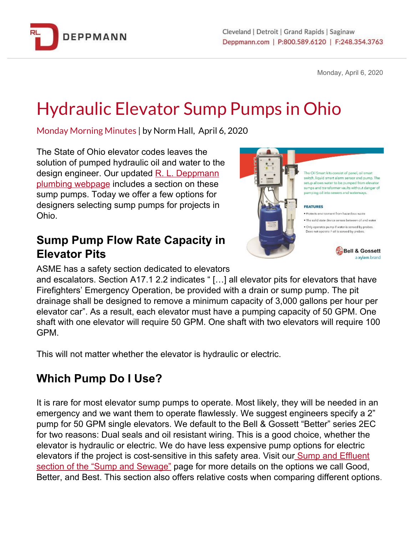

Monday, April 6, 2020

# Hydraulic Elevator Sump Pumps in Ohio

Monday Morning Minutes | by Norm Hall, April 6, 2020

The State of Ohio elevator codes leaves the solution of pumped hydraulic oil and water to the design engineer. Our updated [R](https://www.deppmann.com/products/sump-sewage). L. [Deppmann](https://www.deppmann.com/products/sump-sewage) [plumbing](https://www.deppmann.com/products/sump-sewage) webpage includes a section on these sump pumps. Today we offer a few options for designers selecting sump pumps for projects in Ohio.

#### **Sump Pump Flow Rate Capacity in Elevator Pits**



The Oil Smart kits consist of panel, oil sma switch, liquid smart alarm sensor and pump. The setup allows water to be oumped from elevator sumps and transformer vaults without danger of pumping oil into sewers and waterways.

· Protects environment from hazardous waste

. Only operates pump if water is sensed by probes.

Bell & Gossett a xylem brand

ASME has a safety section dedicated to elevators

and escalators. Section A17.1 2.2 indicates " […] all elevator pits for elevators that have Firefighters' Emergency Operation, be provided with a drain or sump pump. The pit drainage shall be designed to remove a minimum capacity of 3,000 gallons per hour per elevator car". As a result, each elevator must have a pumping capacity of 50 GPM. One shaft with one elevator will require 50 GPM. One shaft with two elevators will require 100 GPM.

This will not matter whether the elevator is hydraulic or electric.

## **Which Pump Do I Use?**

It is rare for most elevator sump pumps to operate. Most likely, they will be needed in an emergency and we want them to operate flawlessly. We suggest engineers specify a 2" pump for 50 GPM single elevators. We default to the Bell & Gossett "Better" series 2EC for two reasons: Dual seals and oil resistant wiring. This is a good choice, whether the elevator is hydraulic or electric. We do have less expensive pump options for electric elevators if the project is cost-sensitive in this safety area. Visit our **Sump and [Effluent](https://www.deppmann.com/products/sump-sewage/#effluent)** section of the "Sump and [Sewage"](https://www.deppmann.com/products/sump-sewage/#effluent) page for more details on the options we call Good, Better, and Best. This section also offers relative costs when comparing different options.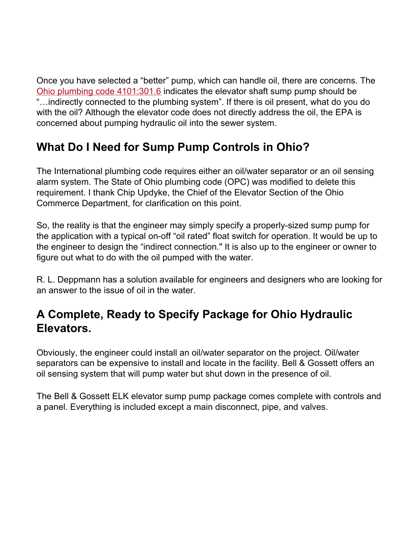Once you have selected a "better" pump, which can handle oil, there are concerns. Th[e](https://bit.ly/2xL2Pzp) Ohio plumbing code [4101:301.6](https://bit.ly/2xL2Pzp) indicates the elevator shaft sump pump should be "…indirectly connected to the plumbing system". If there is oil present, what do you do with the oil? Although the elevator code does not directly address the oil, the EPA is concerned about pumping hydraulic oil into the sewer system.

### **What Do I Need for Sump Pump Controls in Ohio?**

The International plumbing code requires either an oil/water separator or an oil sensing alarm system. The State of Ohio plumbing code (OPC) was modified to delete this requirement. I thank Chip Updyke, the Chief of the Elevator Section of the Ohio Commerce Department, for clarification on this point.

So, the reality is that the engineer may simply specify a properly-sized sump pump for the application with a typical on-off "oil rated" float switch for operation. It would be up to the engineer to design the "indirect connection." It is also up to the engineer or owner to figure out what to do with the oil pumped with the water.

R. L. Deppmann has a solution available for engineers and designers who are looking for an answer to the issue of oil in the water.

#### **A Complete, Ready to Specify Package for Ohio Hydraulic Elevators.**

Obviously, the engineer could install an oil/water separator on the project. Oil/water separators can be expensive to install and locate in the facility. Bell & Gossett offers an oil sensing system that will pump water but shut down in the presence of oil.

The Bell & Gossett ELK elevator sump pump package comes complete with controls and a panel. Everything is included except a main disconnect, pipe, and valves.